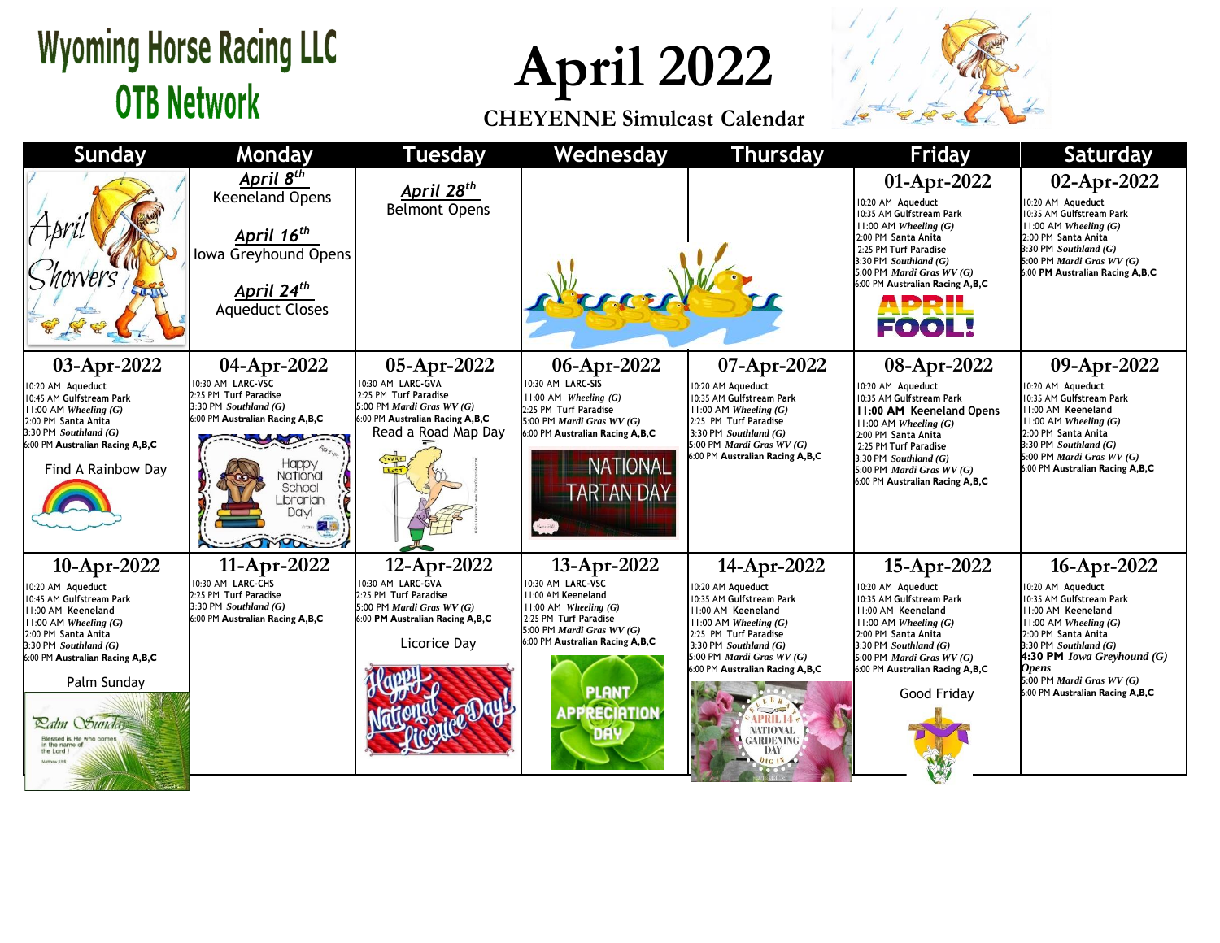## **Wyoming Horse Racing LLC OTB Network**

**April 2022**

**CHEYENNE Simulcast Calendar**



| <b>Sunday</b>                                                                                                                                                                                                                                                                                                           | <b>Monday</b>                                                                                                                                                                        | <b>Tuesday</b>                                                                                                                                   | Wednesday                                                                                                                                                                                                            | <b>Thursday</b>                                                                                                                                                                                                                                                                             | <b>Friday</b>                                                                                                                                                                                                                                                    | <b>Saturday</b>                                                                                                                                                                                                                                                           |
|-------------------------------------------------------------------------------------------------------------------------------------------------------------------------------------------------------------------------------------------------------------------------------------------------------------------------|--------------------------------------------------------------------------------------------------------------------------------------------------------------------------------------|--------------------------------------------------------------------------------------------------------------------------------------------------|----------------------------------------------------------------------------------------------------------------------------------------------------------------------------------------------------------------------|---------------------------------------------------------------------------------------------------------------------------------------------------------------------------------------------------------------------------------------------------------------------------------------------|------------------------------------------------------------------------------------------------------------------------------------------------------------------------------------------------------------------------------------------------------------------|---------------------------------------------------------------------------------------------------------------------------------------------------------------------------------------------------------------------------------------------------------------------------|
|                                                                                                                                                                                                                                                                                                                         | April 8 <sup>th</sup><br><b>Keeneland Opens</b><br>April 16 <sup>th</sup><br>Iowa Greyhound Opens<br><b>April 24<sup>th</sup></b><br>Aqueduct Closes                                 | April 28 <sup>th</sup><br><b>Belmont Opens</b>                                                                                                   |                                                                                                                                                                                                                      |                                                                                                                                                                                                                                                                                             | 01-Apr-2022<br>10:20 AM Aqueduct<br>10:35 AM Gulfstream Park<br>$11:00$ AM Wheeling $(G)$<br>2:00 PM Santa Anita<br>2:25 PM Turf Paradise<br>3:30 PM Southland $(G)$<br>5:00 PM Mardi Gras WV (G)<br>6:00 PM Australian Racing A,B,C<br>APRIL<br><b>FOOL!</b>    | 02-Apr-2022<br>10:20 AM Aqueduct<br>10:35 AM Gulfstream Park<br>$1:00$ AM Wheeling $(G)$<br>2:00 PM Santa Anita<br>$3:30$ PM Southland $(G)$<br>5:00 PM Mardi Gras WV (G)<br>6:00 PM Australian Racing A,B,C                                                              |
| 03-Apr-2022<br>10:20 AM Aqueduct<br>10:45 AM Gulfstream Park<br>$11:00$ AM Wheeling $(G)$<br>2:00 PM Santa Anita<br>$3:30$ PM Southland $(G)$<br>6:00 PM Australian Racing A,B,C<br>Find A Rainbow Day                                                                                                                  | 04-Apr-2022<br>0:30 AM LARC-VSC<br>2:25 PM Turf Paradise<br>$3:30$ PM Southland $(G)$<br>6:00 PM Australian Racing A,B,C<br>-юрру<br>National<br>School<br>Librarian<br>Davl<br>TOOR | 05-Apr-2022<br>10:30 AM LARC-GVA<br>2:25 PM Turf Paradise<br>5:00 PM Mardi Gras WV (G)<br>6:00 PM Australian Racing A,B,C<br>Read a Road Map Day | 06-Apr-2022<br>10:30 AM LARC-SIS<br>$11:00$ AM Wheeling $(G)$<br>2:25 PM Turf Paradise<br>5:00 PM Mardi Gras WV (G)<br>6:00 PM Australian Racing A,B,C<br><b>NATIONAL</b><br><b>ARTAN DAY</b>                        | 07-Apr-2022<br>10:20 AM Aqueduct<br>10:35 AM Gulfstream Park<br>$11:00$ AM Wheeling $(G)$<br>2:25 PM Turf Paradise<br>3:30 PM Southland $(G)$<br>5:00 PM Mardi Gras WV (G)<br>6:00 PM Australian Racing A, B, C                                                                             | 08-Apr-2022<br>10:20 AM Aqueduct<br>10:35 AM Gulfstream Park<br>11:00 AM Keeneland Opens<br>$11:00$ AM Wheeling $(G)$<br>2:00 PM Santa Anita<br>2:25 PM Turf Paradise<br>3:30 PM Southland $(G)$<br>5:00 PM Mardi Gras WV (G)<br>6:00 PM Australian Racing A,B,C | 09-Apr-2022<br>10:20 AM Aqueduct<br>10:35 AM Gulfstream Park<br>11:00 AM Keeneland<br>$11:00$ AM Wheeling $(G)$<br>2:00 PM Santa Anita<br>$3:30$ PM Southland $(G)$<br>5:00 PM Mardi Gras WV (G)<br>6:00 PM Australian Racing A,B,C                                       |
| 10-Apr-2022<br>10:20 AM Aqueduct<br>10:45 AM Gulfstream Park<br>11:00 AM Keeneland<br>$11:00$ AM Wheeling $(G)$<br>2:00 PM Santa Anita<br>$3:30$ PM Southland $(G)$<br>6:00 PM Australian Racing A,B,C<br>Palm Sunday<br><b>Ralm Sunday</b><br>Blessed is He who com<br>in the name<br>the Lord I<br><b>Matthew 231</b> | 11-Apr-2022<br>0:30 AM LARC-CHS<br>2:25 PM Turf Paradise<br>3:30 PM Southland $(G)$<br>6:00 PM Australian Racing A,B,C                                                               | 12-Apr-2022<br>10:30 AM LARC-GVA<br>2:25 PM Turf Paradise<br>5:00 PM Mardi Gras WV (G)<br>6:00 PM Australian Racing A,B,C<br>Licorice Day        | 13-Apr-2022<br>10:30 AM LARC-VSC<br>11:00 AM Keeneland<br>$11:00$ AM Wheeling $(G)$<br>2:25 PM Turf Paradise<br>5:00 PM Mardi Gras $WV(G)$<br>6:00 PM Australian Racing A,B,C<br><b>PLANT</b><br><b>APPRECIATION</b> | 14-Apr-2022<br>10:20 AM Aqueduct<br>10:35 AM Gulfstream Park<br>11:00 AM Keeneland<br>$11:00$ AM Wheeling $(G)$<br>2:25 PM Turf Paradise<br>3:30 PM Southland $(G)$<br>5:00 PM Mardi Gras $WV(G)$<br>6:00 PM Australian Racing A,B,C<br><b>NATIONAL</b><br><b>GARDENING</b><br>DAY<br>01618 | 15-Apr-2022<br>10:20 AM Aqueduct<br>10:35 AM Gulfstream Park<br>11:00 AM Keeneland<br>$11:00$ AM Wheeling $(G)$<br>2:00 PM Santa Anita<br>3:30 PM Southland $(G)$<br>5:00 PM <i>Mardi Gras WV</i> $(G)$<br>6:00 PM Australian Racing A,B,C<br>Good Friday        | 16-Apr-2022<br>10:20 AM Aqueduct<br>0:35 AM Gulfstream Park<br>11:00 AM Keeneland<br>$11:00$ AM Wheeling $(G)$<br>2:00 PM Santa Anita<br>$3:30$ PM Southland $(G)$<br>4:30 PM Iowa Greyhound (G)<br>Opens<br>5:00 PM Mardi Gras WV (G)<br>6:00 PM Australian Racing A,B,C |